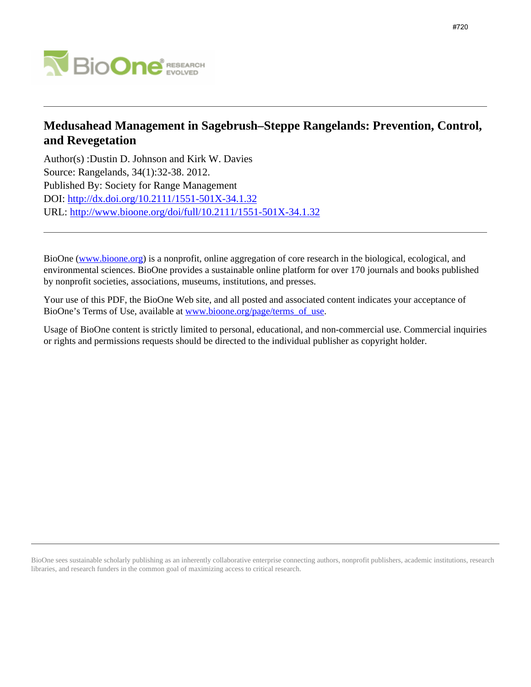

# **Medusahead Management in Sagebrush–Steppe Rangelands: Prevention, Control, and Revegetation**

Author(s) :Dustin D. Johnson and Kirk W. Davies Source: Rangelands, 34(1):32-38. 2012. Published By: Society for Range Management DOI:<http://dx.doi.org/10.2111/1551-501X-34.1.32> URL: <http://www.bioone.org/doi/full/10.2111/1551-501X-34.1.32>

BioOne [\(www.bioone.org\)](http://www.bioone.org) is a nonprofit, online aggregation of core research in the biological, ecological, and environmental sciences. BioOne provides a sustainable online platform for over 170 journals and books published by nonprofit societies, associations, museums, institutions, and presses.

Your use of this PDF, the BioOne Web site, and all posted and associated content indicates your acceptance of BioOne's Terms of Use, available at [www.bioone.org/page/terms\\_of\\_use.](http://www.bioone.org/page/terms_of_use)

Usage of BioOne content is strictly limited to personal, educational, and non-commercial use. Commercial inquiries or rights and permissions requests should be directed to the individual publisher as copyright holder.

BioOne sees sustainable scholarly publishing as an inherently collaborative enterprise connecting authors, nonprofit publishers, academic institutions, research libraries, and research funders in the common goal of maximizing access to critical research.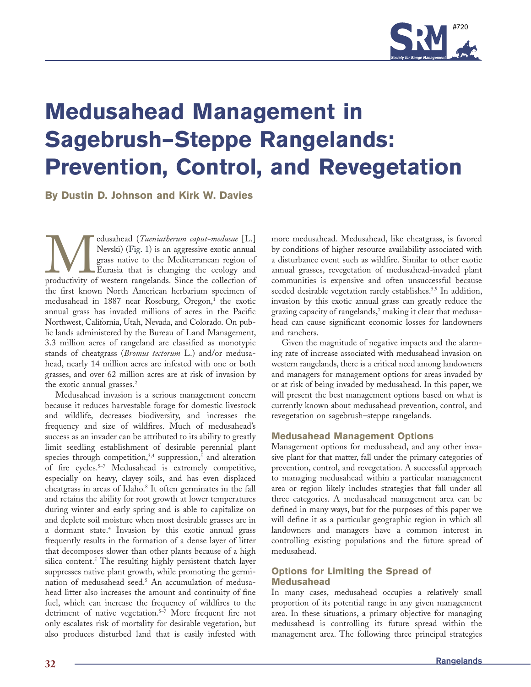

# **Medusahead Management in Sagebrush–Steppe Rangelands: Prevention, Control, and Revegetation**

**By Dustin D. Johnson and Kirk W. Davies**

Medusahead (*Taeniatherum caput-medusae* [L.] Nevski) (Fig. 1) is an aggressive exotic annual grass native to the Mediterranean region of Eurasia that is changing the ecology and productivity of western rangelands. Since t Nevski) (Fig. 1) is an aggressive exotic annual grass native to the Mediterranean region of Eurasia that is changing the ecology and the first known North American herbarium specimen of medusahead in 1887 near Roseburg, Oregon,<sup>1</sup> the exotic annual grass has invaded millions of acres in the Pacific Northwest, California, Utah, Nevada, and Colorado. On public lands administered by the Bureau of Land Management, 3.3 million acres of rangeland are classified as monotypic stands of cheatgrass (*Bromus tectorum* L.) and/or medusahead, nearly 14 million acres are infested with one or both grasses, and over 62 million acres are at risk of invasion by the exotic annual grasses.<sup>2</sup>

Medusahead invasion is a serious management concern because it reduces harvestable forage for domestic livestock and wildlife, decreases biodiversity, and increases the frequency and size of wildfires. Much of medusahead's success as an invader can be attributed to its ability to greatly limit seedling establishment of desirable perennial plant species through competition, $3,4$  suppression,<sup>5</sup> and alteration of fire cycles.<sup>5-7</sup> Medusahead is extremely competitive, especially on heavy, clayey soils, and has even displaced cheatgrass in areas of Idaho.<sup>8</sup> It often germinates in the fall and retains the ability for root growth at lower temperatures during winter and early spring and is able to capitalize on and deplete soil moisture when most desirable grasses are in a dormant state.4 Invasion by this exotic annual grass frequently results in the formation of a dense layer of litter that decomposes slower than other plants because of a high silica content.<sup>5</sup> The resulting highly persistent thatch layer suppresses native plant growth, while promoting the germination of medusahead seed.5 An accumulation of medusahead litter also increases the amount and continuity of fine fuel, which can increase the frequency of wildfires to the detriment of native vegetation.<sup>5-7</sup> More frequent fire not only escalates risk of mortality for desirable vegetation, but also produces disturbed land that is easily infested with

more medusahead. Medusahead, like cheatgrass, is favored by conditions of higher resource availability associated with a disturbance event such as wildfire. Similar to other exotic annual grasses, revegetation of medusahead-invaded plant communities is expensive and often unsuccessful because seeded desirable vegetation rarely establishes.<sup>5,9</sup> In addition, invasion by this exotic annual grass can greatly reduce the grazing capacity of rangelands, $^7$  making it clear that medusahead can cause significant economic losses for landowners and ranchers.

Given the magnitude of negative impacts and the alarming rate of increase associated with medusahead invasion on western rangelands, there is a critical need among landowners and managers for management options for areas invaded by or at risk of being invaded by medusahead. In this paper, we will present the best management options based on what is currently known about medusahead prevention, control, and revegetation on sagebrush–steppe rangelands.

# **Medusahead Management Options**

Management options for medusahead, and any other invasive plant for that matter, fall under the primary categories of prevention, control, and revegetation. A successful approach to managing medusahead within a particular management area or region likely includes strategies that fall under all three categories. A medusahead management area can be defined in many ways, but for the purposes of this paper we will define it as a particular geographic region in which all landowners and managers have a common interest in controlling existing populations and the future spread of medusahead.

# **Options for Limiting the Spread of Medusahead**

In many cases, medusahead occupies a relatively small proportion of its potential range in any given management area. In these situations, a primary objective for managing medusahead is controlling its future spread within the management area. The following three principal strategies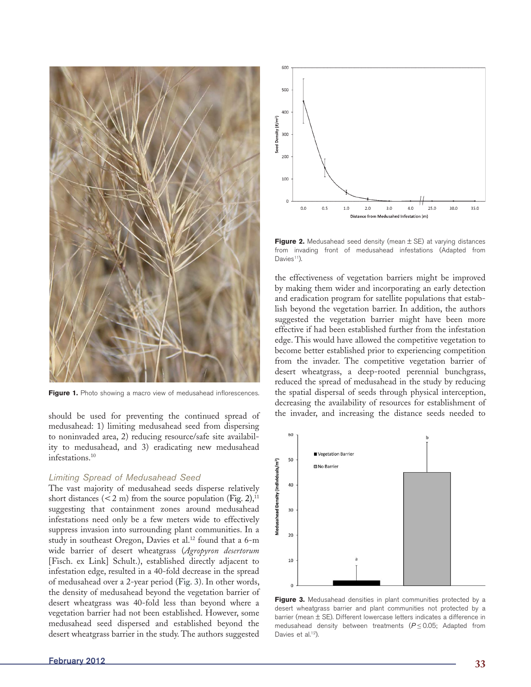

**Figure 1.** Photo showing a macro view of medusahead inflorescences.

should be used for preventing the continued spread of medusahead: 1) limiting medusahead seed from dispersing to noninvaded area, 2) reducing resource/safe site availability to medusahead, and 3) eradicating new medusahead infestations.10

#### *Limiting Spread of Medusahead Seed*

The vast majority of medusahead seeds disperse relatively short distances  $(< 2 \text{ m})$  from the source population (Fig. 2),<sup>11</sup> suggesting that containment zones around medusahead infestations need only be a few meters wide to effectively suppress invasion into surrounding plant communities. In a study in southeast Oregon, Davies et al.<sup>12</sup> found that a 6-m wide barrier of desert wheatgrass (*Agropyron desertorum* [Fisch. ex Link] Schult.), established directly adjacent to infestation edge, resulted in a 40-fold decrease in the spread of medusahead over a 2-year period (Fig. 3). In other words, the density of medusahead beyond the vegetation barrier of desert wheatgrass was 40-fold less than beyond where a vegetation barrier had not been established. However, some medusahead seed dispersed and established beyond the desert wheatgrass barrier in the study. The authors suggested



**Figure 2.** Medusahead seed density (mean  $\pm$  SE) at varying distances from invading front of medusahead infestations (Adapted from Davies<sup>11</sup>).

the effectiveness of vegetation barriers might be improved by making them wider and incorporating an early detection and eradication program for satellite populations that establish beyond the vegetation barrier. In addition, the authors suggested the vegetation barrier might have been more effective if had been established further from the infestation edge. This would have allowed the competitive vegetation to become better established prior to experiencing competition from the invader. The competitive vegetation barrier of desert wheatgrass, a deep-rooted perennial bunchgrass, reduced the spread of medusahead in the study by reducing the spatial dispersal of seeds through physical interception, decreasing the availability of resources for establishment of the invader, and increasing the distance seeds needed to



Figure 3. Medusahead densities in plant communities protected by a desert wheatgrass barrier and plant communities not protected by a barrier (mean ± SE). Different lowercase letters indicates a difference in medusahead density between treatments (*P* ≤ 0.05; Adapted from Davies et al.<sup>12</sup>).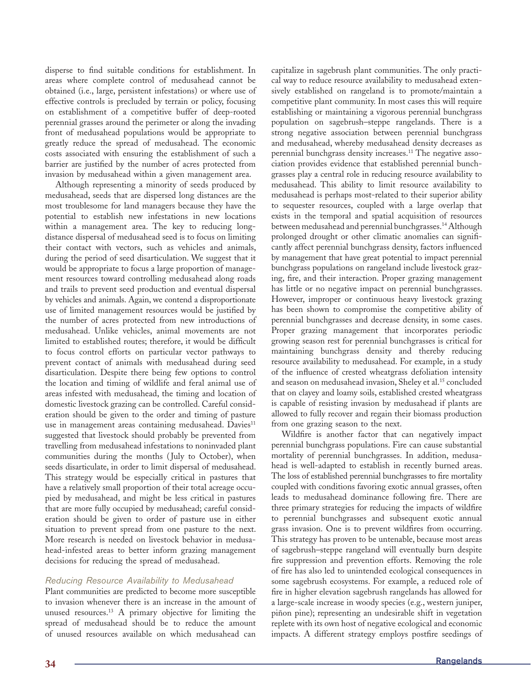disperse to find suitable conditions for establishment. In areas where complete control of medusahead cannot be obtained (i.e., large, persistent infestations) or where use of effective controls is precluded by terrain or policy, focusing on establishment of a competitive buffer of deep-rooted perennial grasses around the perimeter or along the invading front of medusahead populations would be appropriate to greatly reduce the spread of medusahead. The economic costs associated with ensuring the establishment of such a barrier are justified by the number of acres protected from invasion by medusahead within a given management area.

Although representing a minority of seeds produced by medusahead, seeds that are dispersed long distances are the most troublesome for land managers because they have the potential to establish new infestations in new locations within a management area. The key to reducing longdistance dispersal of medusahead seed is to focus on limiting their contact with vectors, such as vehicles and animals, during the period of seed disarticulation. We suggest that it would be appropriate to focus a large proportion of management resources toward controlling medusahead along roads and trails to prevent seed production and eventual dispersal by vehicles and animals. Again, we contend a disproportionate use of limited management resources would be justified by the number of acres protected from new introductions of medusahead. Unlike vehicles, animal movements are not limited to established routes; therefore, it would be difficult to focus control efforts on particular vector pathways to prevent contact of animals with medusahead during seed disarticulation. Despite there being few options to control the location and timing of wildlife and feral animal use of areas infested with medusahead, the timing and location of domestic livestock grazing can be controlled. Careful consideration should be given to the order and timing of pasture use in management areas containing medusahead. Davies<sup>11</sup> suggested that livestock should probably be prevented from travelling from medusahead infestations to noninvaded plant communities during the months (July to October), when seeds disarticulate, in order to limit dispersal of medusahead. This strategy would be especially critical in pastures that have a relatively small proportion of their total acreage occupied by medusahead, and might be less critical in pastures that are more fully occupied by medusahead; careful consideration should be given to order of pasture use in either situation to prevent spread from one pasture to the next. More research is needed on livestock behavior in medusahead-infested areas to better inform grazing management decisions for reducing the spread of medusahead.

## *Reducing Resource Availability to Medusahead*

Plant communities are predicted to become more susceptible to invasion whenever there is an increase in the amount of unused resources.13 A primary objective for limiting the spread of medusahead should be to reduce the amount of unused resources available on which medusahead can

capitalize in sagebrush plant communities. The only practical way to reduce resource availability to medusahead extensively established on rangeland is to promote/maintain a competitive plant community. In most cases this will require establishing or maintaining a vigorous perennial bunchgrass population on sagebrush–steppe rangelands. There is a strong negative association between perennial bunchgrass and medusahead, whereby medusahead density decreases as perennial bunchgrass density increases.<sup>11</sup> The negative association provides evidence that established perennial bunchgrasses play a central role in reducing resource availability to medusahead. This ability to limit resource availability to medusahead is perhaps most-related to their superior ability to sequester resources, coupled with a large overlap that exists in the temporal and spatial acquisition of resources between medusahead and perennial bunchgrasses.14 Although prolonged drought or other climatic anomalies can significantly affect perennial bunchgrass density, factors influenced by management that have great potential to impact perennial bunchgrass populations on rangeland include livestock grazing, fire, and their interaction. Proper grazing management has little or no negative impact on perennial bunchgrasses. However, improper or continuous heavy livestock grazing has been shown to compromise the competitive ability of perennial bunchgrasses and decrease density, in some cases. Proper grazing management that incorporates periodic growing season rest for perennial bunchgrasses is critical for maintaining bunchgrass density and thereby reducing resource availability to medusahead. For example, in a study of the influence of crested wheatgrass defoliation intensity and season on medusahead invasion, Sheley et al.<sup>15</sup> concluded that on clayey and loamy soils, established crested wheatgrass is capable of resisting invasion by medusahead if plants are allowed to fully recover and regain their biomass production from one grazing season to the next.

Wildfire is another factor that can negatively impact perennial bunchgrass populations. Fire can cause substantial mortality of perennial bunchgrasses. In addition, medusahead is well-adapted to establish in recently burned areas. The loss of established perennial bunchgrasses to fire mortality coupled with conditions favoring exotic annual grasses, often leads to medusahead dominance following fire. There are three primary strategies for reducing the impacts of wildfire to perennial bunchgrasses and subsequent exotic annual grass invasion. One is to prevent wildfires from occurring. This strategy has proven to be untenable, because most areas of sagebrush–steppe rangeland will eventually burn despite fire suppression and prevention efforts. Removing the role of fire has also led to unintended ecological consequences in some sagebrush ecosystems. For example, a reduced role of fire in higher elevation sagebrush rangelands has allowed for a large-scale increase in woody species (e.g., western juniper, piñon pine); representing an undesirable shift in vegetation replete with its own host of negative ecological and economic impacts. A different strategy employs postfire seedings of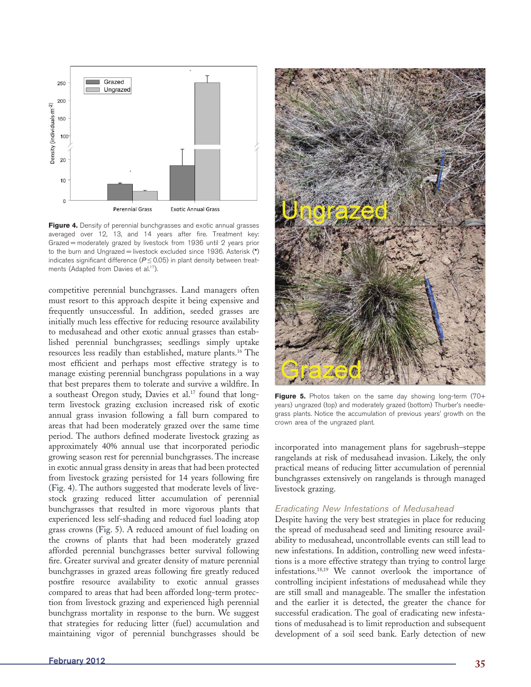

Figure 4. Density of perennial bunchgrasses and exotic annual grasses averaged over 12, 13, and 14 years after fire. Treatment key: Grazed = moderately grazed by livestock from 1936 until 2 years prior to the burn and Ungrazed = livestock excluded since 1936. Asterisk (**\***) indicates significant difference ( $P \le 0.05$ ) in plant density between treatments (Adapted from Davies et al.<sup>17</sup>).

competitive perennial bunchgrasses. Land managers often must resort to this approach despite it being expensive and frequently unsuccessful. In addition, seeded grasses are initially much less effective for reducing resource availability to medusahead and other exotic annual grasses than established perennial bunchgrasses; seedlings simply uptake resources less readily than established, mature plants.16 The most efficient and perhaps most effective strategy is to manage existing perennial bunchgrass populations in a way that best prepares them to tolerate and survive a wildfire. In a southeast Oregon study, Davies et al.<sup>17</sup> found that longterm livestock grazing exclusion increased risk of exotic annual grass invasion following a fall burn compared to areas that had been moderately grazed over the same time period. The authors defined moderate livestock grazing as approximately 40% annual use that incorporated periodic growing season rest for perennial bunchgrasses. The increase in exotic annual grass density in areas that had been protected from livestock grazing persisted for 14 years following fire (Fig. 4). The authors suggested that moderate levels of livestock grazing reduced litter accumulation of perennial bunchgrasses that resulted in more vigorous plants that experienced less self-shading and reduced fuel loading atop grass crowns (Fig. 5). A reduced amount of fuel loading on the crowns of plants that had been moderately grazed afforded perennial bunchgrasses better survival following fire. Greater survival and greater density of mature perennial bunchgrasses in grazed areas following fire greatly reduced postfire resource availability to exotic annual grasses compared to areas that had been afforded long-term protection from livestock grazing and experienced high perennial bunchgrass mortality in response to the burn. We suggest that strategies for reducing litter (fuel) accumulation and maintaining vigor of perennial bunchgrasses should be



Figure 5. Photos taken on the same day showing long-term (70+ years) ungrazed (top) and moderately grazed (bottom) Thurber's needlegrass plants. Notice the accumulation of previous years' growth on the crown area of the ungrazed plant.

incorporated into management plans for sagebrush–steppe rangelands at risk of medusahead invasion. Likely, the only practical means of reducing litter accumulation of perennial bunchgrasses extensively on rangelands is through managed livestock grazing.

#### *Eradicating New Infestations of Medusahead*

Despite having the very best strategies in place for reducing the spread of medusahead seed and limiting resource availability to medusahead, uncontrollable events can still lead to new infestations. In addition, controlling new weed infestations is a more effective strategy than trying to control large infestations.18,19 We cannot overlook the importance of controlling incipient infestations of medusahead while they are still small and manageable. The smaller the infestation and the earlier it is detected, the greater the chance for successful eradication. The goal of eradicating new infestations of medusahead is to limit reproduction and subsequent development of a soil seed bank. Early detection of new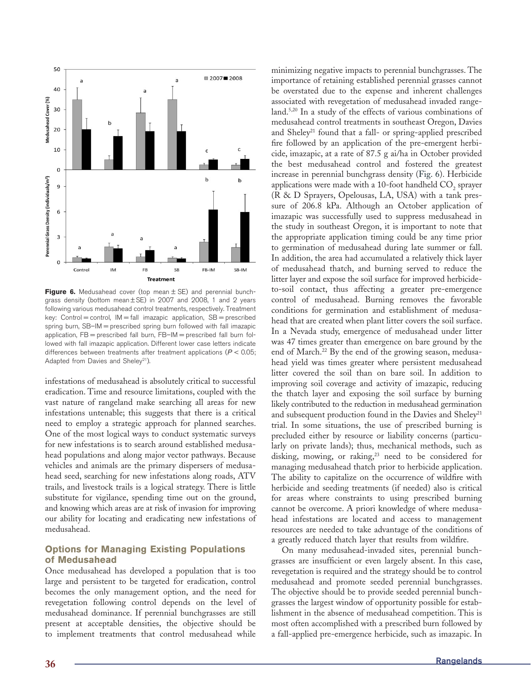

**Figure 6.** Medusahead cover (top mean ± SE) and perennial bunchgrass density (bottom mean ± SE) in 2007 and 2008, 1 and 2 years following various medusahead control treatments, respectively. Treatment key: Control = control,  $IM = fall$  imazapic application,  $SB =$  prescribed spring burn, SB-IM = prescribed spring burn followed with fall imazapic application, FB = prescribed fall burn, FB–IM = prescribed fall burn followed with fall imazapic application. Different lower case letters indicate differences between treatments after treatment applications (*P* < 0.05; Adapted from Davies and Sheley<sup>21</sup>).

infestations of medusahead is absolutely critical to successful eradication. Time and resource limitations, coupled with the vast nature of rangeland make searching all areas for new infestations untenable; this suggests that there is a critical need to employ a strategic approach for planned searches. One of the most logical ways to conduct systematic surveys for new infestations is to search around established medusahead populations and along major vector pathways. Because vehicles and animals are the primary dispersers of medusahead seed, searching for new infestations along roads, ATV trails, and livestock trails is a logical strategy. There is little substitute for vigilance, spending time out on the ground, and knowing which areas are at risk of invasion for improving our ability for locating and eradicating new infestations of medusahead.

# **Options for Managing Existing Populations of Medusahead**

Once medusahead has developed a population that is too large and persistent to be targeted for eradication, control becomes the only management option, and the need for revegetation following control depends on the level of medusahead dominance. If perennial bunchgrasses are still present at acceptable densities, the objective should be to implement treatments that control medusahead while minimizing negative impacts to perennial bunchgrasses. The importance of retaining established perennial grasses cannot be overstated due to the expense and inherent challenges associated with revegetation of medusahead invaded rangeland.5,20 In a study of the effects of various combinations of medusahead control treatments in southeast Oregon, Davies and Sheley<sup>21</sup> found that a fall- or spring-applied prescribed fire followed by an application of the pre-emergent herbicide, imazapic, at a rate of 87.5 g ai/ha in October provided the best medusahead control and fostered the greatest increase in perennial bunchgrass density (Fig. 6). Herbicide applications were made with a 10-foot handheld  $\mathrm{CO}_2$  sprayer (R & D Sprayers, Opelousas, LA, USA) with a tank pressure of 206.8 kPa. Although an October application of imazapic was successfully used to suppress medusahead in the study in southeast Oregon, it is important to note that the appropriate application timing could be any time prior to germination of medusahead during late summer or fall. In addition, the area had accumulated a relatively thick layer of medusahead thatch, and burning served to reduce the litter layer and expose the soil surface for improved herbicideto-soil contact, thus affecting a greater pre-emergence control of medusahead. Burning removes the favorable conditions for germination and establishment of medusahead that are created when plant litter covers the soil surface. In a Nevada study, emergence of medusahead under litter was 47 times greater than emergence on bare ground by the end of March.<sup>22</sup> By the end of the growing season, medusahead yield was times greater where persistent medusahead litter covered the soil than on bare soil. In addition to improving soil coverage and activity of imazapic, reducing the thatch layer and exposing the soil surface by burning likely contributed to the reduction in medusahead germination and subsequent production found in the Davies and Sheley<sup>21</sup> trial. In some situations, the use of prescribed burning is precluded either by resource or liability concerns (particularly on private lands); thus, mechanical methods, such as disking, mowing, or raking,<sup>23</sup> need to be considered for managing medusahead thatch prior to herbicide application. The ability to capitalize on the occurrence of wildfire with herbicide and seeding treatments (if needed) also is critical for areas where constraints to using prescribed burning cannot be overcome. A priori knowledge of where medusahead infestations are located and access to management resources are needed to take advantage of the conditions of a greatly reduced thatch layer that results from wildfire.

On many medusahead-invaded sites, perennial bunchgrasses are insufficient or even largely absent. In this case, revegetation is required and the strategy should be to control medusahead and promote seeded perennial bunchgrasses. The objective should be to provide seeded perennial bunchgrasses the largest window of opportunity possible for establishment in the absence of medusahead competition. This is most often accomplished with a prescribed burn followed by a fall-applied pre-emergence herbicide, such as imazapic. In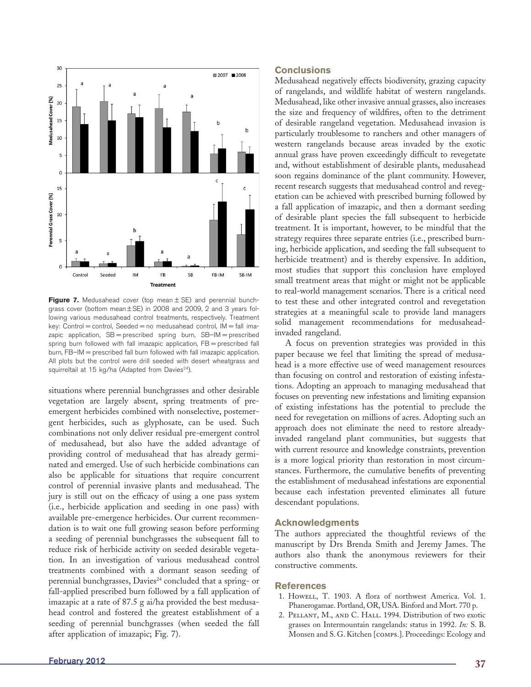

**Figure 7.** Medusahead cover (top mean  $\pm$  SE) and perennial bunchgrass cover (bottom mean ± SE) in 2008 and 2009, 2 and 3 years following various medusahead control treatments, respectively. Treatment key: Control = control, Seeded = no medusahead control, IM = fall imazapic application,  $SB =$  prescribed spring burn,  $SB - IM =$  prescribed spring burn followed with fall imazapic application, FB = prescribed fall burn, FB–IM = prescribed fall burn followed with fall imazapic application. All plots but the control were drill seeded with desert wheatgrass and squirreltail at 15 kg/ha (Adapted from Davies<sup>24</sup>).

situations where perennial bunchgrasses and other desirable vegetation are largely absent, spring treatments of preemergent herbicides combined with nonselective, postemergent herbicides, such as glyphosate, can be used. Such combinations not only deliver residual pre-emergent control of medusahead, but also have the added advantage of providing control of medusahead that has already germinated and emerged. Use of such herbicide combinations can also be applicable for situations that require concurrent control of perennial invasive plants and medusahead. The jury is still out on the efficacy of using a one pass system (i.e., herbicide application and seeding in one pass) with available pre-emergence herbicides. Our current recommendation is to wait one full growing season before performing a seeding of perennial bunchgrasses the subsequent fall to reduce risk of herbicide activity on seeded desirable vegetation. In an investigation of various medusahead control treatments combined with a dormant season seeding of perennial bunchgrasses, Davies<sup>24</sup> concluded that a spring- or fall-applied prescribed burn followed by a fall application of imazapic at a rate of 87.5 g ai/ha provided the best medusahead control and fostered the greatest establishment of a seeding of perennial bunchgrasses (when seeded the fall after application of imazapic; Fig. 7).

# **Conclusions**

Medusahead negatively effects biodiversity, grazing capacity of rangelands, and wildlife habitat of western rangelands. Medusahead, like other invasive annual grasses, also increases the size and frequency of wildfires, often to the detriment of desirable rangeland vegetation. Medusahead invasion is particularly troublesome to ranchers and other managers of western rangelands because areas invaded by the exotic annual grass have proven exceedingly difficult to revegetate and, without establishment of desirable plants, medusahead soon regains dominance of the plant community. However, recent research suggests that medusahead control and revegetation can be achieved with prescribed burning followed by a fall application of imazapic, and then a dormant seeding of desirable plant species the fall subsequent to herbicide treatment. It is important, however, to be mindful that the strategy requires three separate entries (i.e., prescribed burning, herbicide application, and seeding the fall subsequent to herbicide treatment) and is thereby expensive. In addition, most studies that support this conclusion have employed small treatment areas that might or might not be applicable to real-world management scenarios. There is a critical need to test these and other integrated control and revegetation strategies at a meaningful scale to provide land managers solid management recommendations for medusaheadinvaded rangeland.

A focus on prevention strategies was provided in this paper because we feel that limiting the spread of medusahead is a more effective use of weed management resources than focusing on control and restoration of existing infestations. Adopting an approach to managing medusahead that focuses on preventing new infestations and limiting expansion of existing infestations has the potential to preclude the need for revegetation on millions of acres. Adopting such an approach does not eliminate the need to restore alreadyinvaded rangeland plant communities, but suggests that with current resource and knowledge constraints, prevention is a more logical priority than restoration in most circumstances. Furthermore, the cumulative benefits of preventing the establishment of medusahead infestations are exponential because each infestation prevented eliminates all future descendant populations.

# **Acknowledgments**

The authors appreciated the thoughtful reviews of the manuscript by Drs Brenda Smith and Jeremy James. The authors also thank the anonymous reviewers for their constructive comments.

## **References**

- 1. Howell, T. 1903. A flora of northwest America. Vol. 1. Phanerogamae. Portland, OR, USA. Binford and Mort. 770 p.
- 2. PELLANT, M., AND C. HALL. 1994. Distribution of two exotic grasses on Intermountain rangelands: status in 1992. *In:* S. B. Monsen and S. G. Kitchen [comps.]. Proceedings: Ecology and